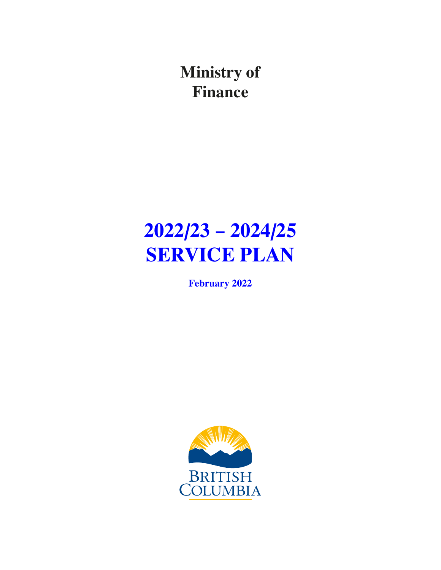**Ministry of Finance**

# **2022/23 – 2024/25 SERVICE PLAN**

**February 2022**

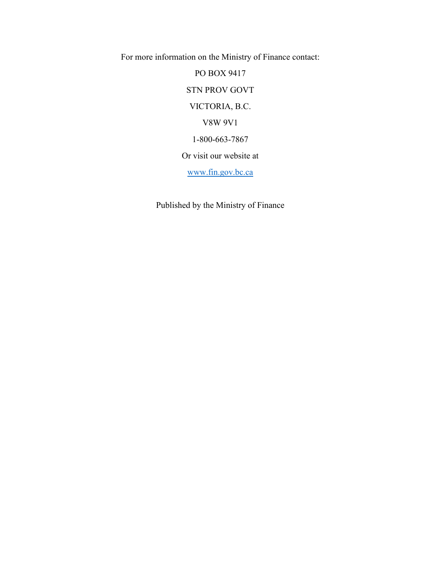For more information on the Ministry of Finance contact:

PO BOX 9417 STN PROV GOVT VICTORIA, B.C. V8W 9V1 1-800-663-7867 Or visit our website at [www.fin.gov.bc.ca](http://www.fin.gov.bc.ca/)

Published by the Ministry of Finance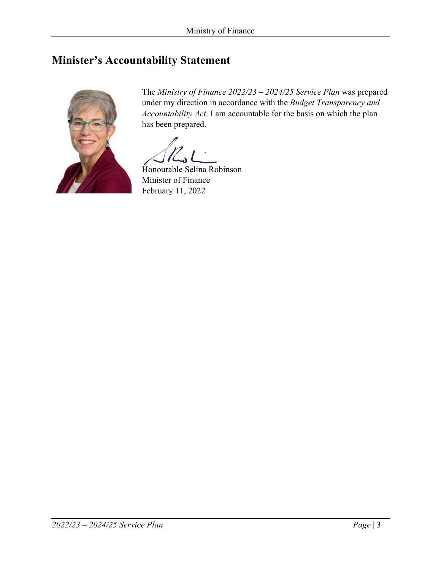### <span id="page-2-0"></span>**Minister's Accountability Statement**



The *Ministry of Finance 2022/23 – 2024/25 Service Plan* was prepared under my direction in accordance with the *Budget Transparency and Accountability Act*. I am accountable for the basis on which the plan has been prepared.

Honourable Selina Robinson Minister of Finance February 11, 2022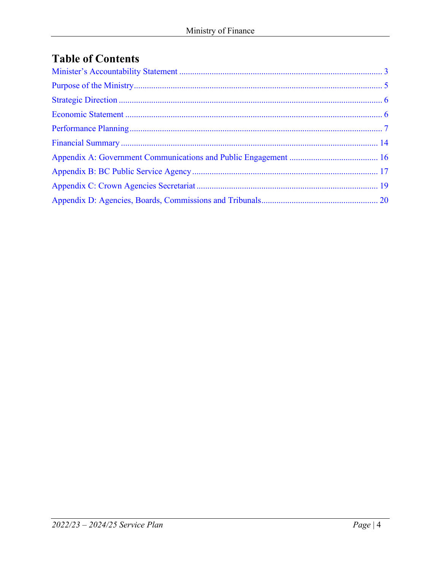# **Table of Contents**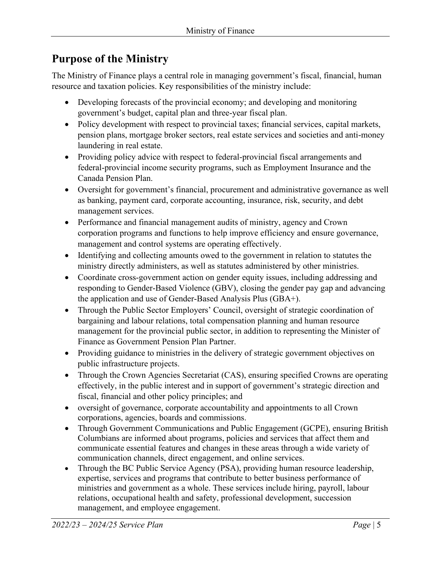# <span id="page-4-0"></span>**Purpose of the Ministry**

The Ministry of Finance plays a central role in managing government's fiscal, financial, human resource and taxation policies. Key responsibilities of the ministry include:

- Developing forecasts of the provincial economy; and developing and monitoring government's budget, capital plan and three-year fiscal plan.
- Policy development with respect to provincial taxes; financial services, capital markets, pension plans, mortgage broker sectors, real estate services and societies and anti-money laundering in real estate.
- Providing policy advice with respect to federal-provincial fiscal arrangements and federal-provincial income security programs, such as Employment Insurance and the Canada Pension Plan.
- Oversight for government's financial, procurement and administrative governance as well as banking, payment card, corporate accounting, insurance, risk, security, and debt management services.
- Performance and financial management audits of ministry, agency and Crown corporation programs and functions to help improve efficiency and ensure governance, management and control systems are operating effectively.
- Identifying and collecting amounts owed to the government in relation to statutes the ministry directly administers, as well as statutes administered by other ministries.
- Coordinate cross-government action on gender equity issues, including addressing and responding to Gender-Based Violence (GBV), closing the gender pay gap and advancing the application and use of Gender-Based Analysis Plus (GBA+).
- Through the Public Sector Employers' Council, oversight of strategic coordination of bargaining and labour relations, total compensation planning and human resource management for the provincial public sector, in addition to representing the Minister of Finance as Government Pension Plan Partner.
- Providing guidance to ministries in the delivery of strategic government objectives on public infrastructure projects.
- Through the Crown Agencies Secretariat (CAS), ensuring specified Crowns are operating effectively, in the public interest and in support of government's strategic direction and fiscal, financial and other policy principles; and
- oversight of governance, corporate accountability and appointments to all Crown corporations, agencies, boards and commissions.
- Through Government Communications and Public Engagement (GCPE), ensuring British Columbians are informed about programs, policies and services that affect them and communicate essential features and changes in these areas through a wide variety of communication channels, direct engagement, and online services.
- Through the BC Public Service Agency (PSA), providing human resource leadership, expertise, services and programs that contribute to better business performance of ministries and government as a whole. These services include hiring, payroll, labour relations, occupational health and safety, professional development, succession management, and employee engagement.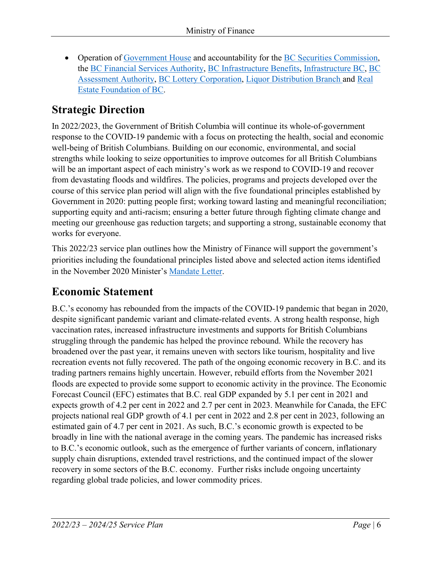• Operation of [Government House](https://ltgov.bc.ca/) and accountability for the [BC Securities Commission,](https://www.bcsc.bc.ca/) the [BC Financial Services Authority,](http://www.bcfsa.ca/) [BC Infrastructure Benefits,](https://www.bcib.ca/) [Infrastructure BC,](https://www.infrastructurebc.com/) [BC](https://www.bcassessment.ca/) [Assessment Authority,](https://www.bcassessment.ca/) [BC Lottery Corporation,](https://www.bclc.com/) [Liquor Distribution Branch](http://www.bcldb.com/) and [Real](https://www.refbc.com/) [Estate Foundation of BC.](https://www.refbc.com/)

# <span id="page-5-0"></span>**Strategic Direction**

In 2022/2023, the Government of British Columbia will continue its whole-of-government response to the COVID-19 pandemic with a focus on protecting the health, social and economic well-being of British Columbians. Building on our economic, environmental, and social strengths while looking to seize opportunities to improve outcomes for all British Columbians will be an important aspect of each ministry's work as we respond to COVID-19 and recover from devastating floods and wildfires. The policies, programs and projects developed over the course of this service plan period will align with the five foundational principles established by Government in 2020: putting people first; working toward lasting and meaningful reconciliation; supporting equity and anti-racism; ensuring a better future through fighting climate change and meeting our greenhouse gas reduction targets; and supporting a strong, sustainable economy that works for everyone.

This 2022/23 service plan outlines how the Ministry of Finance will support the government's priorities including the foundational principles listed above and selected action items identified in the November 2020 Minister's [Mandate Letter.](https://www2.gov.bc.ca/assets/gov/government/ministries-organizations/premier-cabinet-mlas/minister-letter/robinson_mandate_2020_mar_fin.pdf)

# <span id="page-5-1"></span>**Economic Statement**

B.C.'s economy has rebounded from the impacts of the COVID-19 pandemic that began in 2020, despite significant pandemic variant and climate-related events. A strong health response, high vaccination rates, increased infrastructure investments and supports for British Columbians struggling through the pandemic has helped the province rebound. While the recovery has broadened over the past year, it remains uneven with sectors like tourism, hospitality and live recreation events not fully recovered. The path of the ongoing economic recovery in B.C. and its trading partners remains highly uncertain. However, rebuild efforts from the November 2021 floods are expected to provide some support to economic activity in the province. The Economic Forecast Council (EFC) estimates that B.C. real GDP expanded by 5.1 per cent in 2021 and expects growth of 4.2 per cent in 2022 and 2.7 per cent in 2023. Meanwhile for Canada, the EFC projects national real GDP growth of 4.1 per cent in 2022 and 2.8 per cent in 2023, following an estimated gain of 4.7 per cent in 2021. As such, B.C.'s economic growth is expected to be broadly in line with the national average in the coming years. The pandemic has increased risks to B.C.'s economic outlook, such as the emergence of further variants of concern, inflationary supply chain disruptions, extended travel restrictions, and the continued impact of the slower recovery in some sectors of the B.C. economy. Further risks include ongoing uncertainty regarding global trade policies, and lower commodity prices.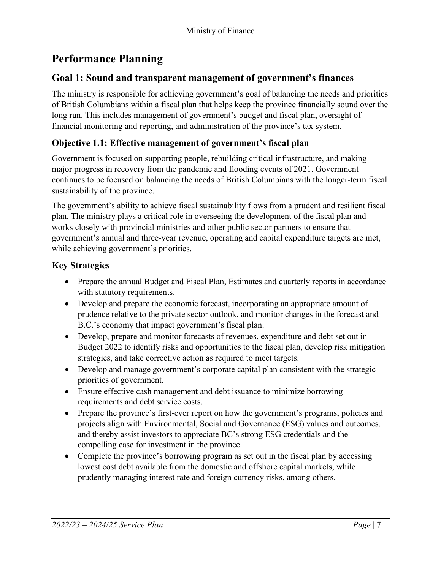# <span id="page-6-0"></span>**Performance Planning**

#### **Goal 1: Sound and transparent management of government's finances**

The ministry is responsible for achieving government's goal of balancing the needs and priorities of British Columbians within a fiscal plan that helps keep the province financially sound over the long run. This includes management of government's budget and fiscal plan, oversight of financial monitoring and reporting, and administration of the province's tax system.

#### **Objective 1.1: Effective management of government's fiscal plan**

Government is focused on supporting people, rebuilding critical infrastructure, and making major progress in recovery from the pandemic and flooding events of 2021. Government continues to be focused on balancing the needs of British Columbians with the longer-term fiscal sustainability of the province.

The government's ability to achieve fiscal sustainability flows from a prudent and resilient fiscal plan. The ministry plays a critical role in overseeing the development of the fiscal plan and works closely with provincial ministries and other public sector partners to ensure that government's annual and three-year revenue, operating and capital expenditure targets are met, while achieving government's priorities.

#### **Key Strategies**

- Prepare the annual Budget and Fiscal Plan, Estimates and quarterly reports in accordance with statutory requirements.
- Develop and prepare the economic forecast, incorporating an appropriate amount of prudence relative to the private sector outlook, and monitor changes in the forecast and B.C.'s economy that impact government's fiscal plan.
- Develop, prepare and monitor forecasts of revenues, expenditure and debt set out in Budget 2022 to identify risks and opportunities to the fiscal plan, develop risk mitigation strategies, and take corrective action as required to meet targets.
- Develop and manage government's corporate capital plan consistent with the strategic priorities of government.
- Ensure effective cash management and debt issuance to minimize borrowing requirements and debt service costs.
- Prepare the province's first-ever report on how the government's programs, policies and projects align with Environmental, Social and Governance (ESG) values and outcomes, and thereby assist investors to appreciate BC's strong ESG credentials and the compelling case for investment in the province.
- Complete the province's borrowing program as set out in the fiscal plan by accessing lowest cost debt available from the domestic and offshore capital markets, while prudently managing interest rate and foreign currency risks, among others.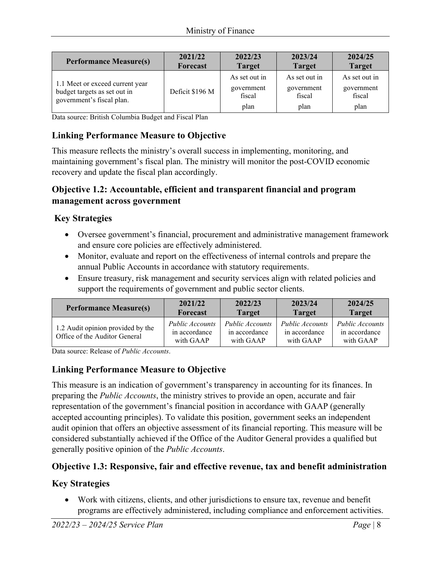| <b>Performance Measure(s)</b>                                                                | 2021/22         | 2022/23                                       | 2023/24                                       | 2024/25                                       |
|----------------------------------------------------------------------------------------------|-----------------|-----------------------------------------------|-----------------------------------------------|-----------------------------------------------|
|                                                                                              | <b>Forecast</b> | <b>Target</b>                                 | <b>Target</b>                                 | <b>Target</b>                                 |
| 1.1 Meet or exceed current year<br>budget targets as set out in<br>government's fiscal plan. | Deficit \$196 M | As set out in<br>government<br>fiscal<br>plan | As set out in<br>government<br>fiscal<br>plan | As set out in<br>government<br>fiscal<br>plan |

Data source: British Columbia Budget and Fiscal Plan

#### **Linking Performance Measure to Objective**

This measure reflects the ministry's overall success in implementing, monitoring, and maintaining government's fiscal plan. The ministry will monitor the post-COVID economic recovery and update the fiscal plan accordingly.

#### **Objective 1.2: Accountable, efficient and transparent financial and program management across government**

#### **Key Strategies**

- Oversee government's financial, procurement and administrative management framework and ensure core policies are effectively administered.
- Monitor, evaluate and report on the effectiveness of internal controls and prepare the annual Public Accounts in accordance with statutory requirements.
- Ensure treasury, risk management and security services align with related policies and support the requirements of government and public sector clients.

| <b>Performance Measure(s)</b>                                      | 2021/22                                              | 2022/23                                              | 2023/24                                              | 2024/25                                              |
|--------------------------------------------------------------------|------------------------------------------------------|------------------------------------------------------|------------------------------------------------------|------------------------------------------------------|
|                                                                    | <b>Forecast</b>                                      | <b>Target</b>                                        | <b>Target</b>                                        | <b>Target</b>                                        |
| 1.2 Audit opinion provided by the<br>Office of the Auditor General | <i>Public Accounts</i><br>in accordance<br>with GAAP | <i>Public Accounts</i><br>in accordance<br>with GAAP | <i>Public Accounts</i><br>in accordance<br>with GAAP | <i>Public Accounts</i><br>in accordance<br>with GAAP |

Data source: Release of *Public Accounts*.

#### **Linking Performance Measure to Objective**

This measure is an indication of government's transparency in accounting for its finances. In preparing the *Public Accounts*, the ministry strives to provide an open, accurate and fair representation of the government's financial position in accordance with GAAP (generally accepted accounting principles). To validate this position, government seeks an independent audit opinion that offers an objective assessment of its financial reporting. This measure will be considered substantially achieved if the Office of the Auditor General provides a qualified but generally positive opinion of the *Public Accounts*.

#### **Objective 1.3: Responsive, fair and effective revenue, tax and benefit administration**

#### **Key Strategies**

• Work with citizens, clients, and other jurisdictions to ensure tax, revenue and benefit programs are effectively administered, including compliance and enforcement activities.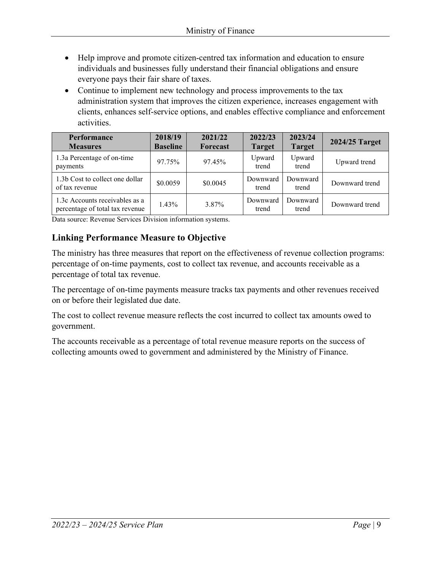- Help improve and promote citizen-centred tax information and education to ensure individuals and businesses fully understand their financial obligations and ensure everyone pays their fair share of taxes.
- Continue to implement new technology and process improvements to the tax administration system that improves the citizen experience, increases engagement with clients, enhances self-service options, and enables effective compliance and enforcement activities.

| <b>Performance</b><br><b>Measures</b>                             | 2018/19<br><b>Baseline</b> | 2021/22<br><b>Forecast</b> | 2022/23<br><b>Target</b> | 2023/24<br><b>Target</b> | 2024/25 Target |
|-------------------------------------------------------------------|----------------------------|----------------------------|--------------------------|--------------------------|----------------|
| 1.3a Percentage of on-time<br>payments                            | 97.75%                     | 97.45%                     | Upward<br>trend          | Upward<br>trend          | Upward trend   |
| 1.3b Cost to collect one dollar<br>of tax revenue                 | \$0.0059                   | \$0.0045                   | Downward<br>trend        | Downward<br>trend        | Downward trend |
| 1.3c Accounts receivables as a<br>percentage of total tax revenue | $1.43\%$                   | 3.87%                      | Downward<br>trend        | Downward<br>trend        | Downward trend |

Data source: Revenue Services Division information systems.

#### **Linking Performance Measure to Objective**

The ministry has three measures that report on the effectiveness of revenue collection programs: percentage of on-time payments, cost to collect tax revenue, and accounts receivable as a percentage of total tax revenue.

The percentage of on-time payments measure tracks tax payments and other revenues received on or before their legislated due date.

The cost to collect revenue measure reflects the cost incurred to collect tax amounts owed to government.

The accounts receivable as a percentage of total revenue measure reports on the success of collecting amounts owed to government and administered by the Ministry of Finance.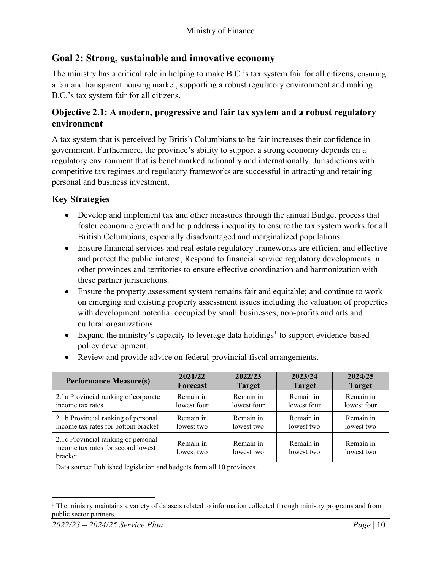#### **Goal 2: Strong, sustainable and innovative economy**

The ministry has a critical role in helping to make B.C.'s tax system fair for all citizens, ensuring a fair and transparent housing market, supporting a robust regulatory environment and making B.C.'s tax system fair for all citizens.

#### **Objective 2.1: A modern, progressive and fair tax system and a robust regulatory environment**

A tax system that is perceived by British Columbians to be fair increases their confidence in government. Furthermore, the province's ability to support a strong economy depends on a regulatory environment that is benchmarked nationally and internationally. Jurisdictions with competitive tax regimes and regulatory frameworks are successful in attracting and retaining personal and business investment.

#### **Key Strategies**

- Develop and implement tax and other measures through the annual Budget process that foster economic growth and help address inequality to ensure the tax system works for all British Columbians, especially disadvantaged and marginalized populations.
- Ensure financial services and real estate regulatory frameworks are efficient and effective and protect the public interest, Respond to financial service regulatory developments in other provinces and territories to ensure effective coordination and harmonization with these partner jurisdictions.
- Ensure the property assessment system remains fair and equitable; and continue to work on emerging and existing property assessment issues including the valuation of properties with development potential occupied by small businesses, non-profits and arts and cultural organizations.
- Expand the ministry's capacity to leverage data holdings<sup>[1](#page-9-0)</sup> to support evidence-based policy development.

| <b>Performance Measure(s)</b>                                                        | 2021/22                 | 2022/23                 | 2023/24                 | 2024/25                 |
|--------------------------------------------------------------------------------------|-------------------------|-------------------------|-------------------------|-------------------------|
|                                                                                      | <b>Forecast</b>         | <b>Target</b>           | <b>Target</b>           | <b>Target</b>           |
| 2.1a Provincial ranking of corporate                                                 | Remain in               | Remain in               | Remain in               | Remain in               |
| income tax rates                                                                     | lowest four             | lowest four             | lowest four             | lowest four             |
| 2.1b Provincial ranking of personal                                                  | Remain in               | Remain in               | Remain in               | Remain in               |
| income tax rates for bottom bracket                                                  | lowest two              | lowest two              | lowest two              | lowest two              |
| 2.1c Provincial ranking of personal<br>income tax rates for second lowest<br>bracket | Remain in<br>lowest two | Remain in<br>lowest two | Remain in<br>lowest two | Remain in<br>lowest two |

• Review and provide advice on federal-provincial fiscal arrangements.

Data source: Published legislation and budgets from all 10 provinces.

<span id="page-9-0"></span><sup>&</sup>lt;sup>1</sup> The ministry maintains a variety of datasets related to information collected through ministry programs and from public sector partners.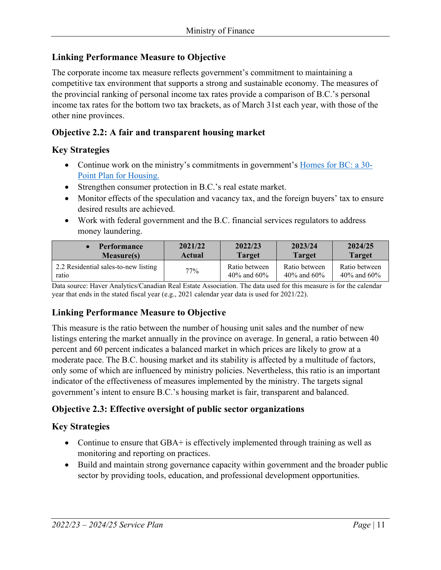#### **Linking Performance Measure to Objective**

The corporate income tax measure reflects government's commitment to maintaining a competitive tax environment that supports a strong and sustainable economy. The measures of the provincial ranking of personal income tax rates provide a comparison of B.C.'s personal income tax rates for the bottom two tax brackets, as of March 31st each year, with those of the other nine provinces.

#### **Objective 2.2: A fair and transparent housing market**

#### **Key Strategies**

- Continue work on the ministry's commitments in government's Homes for BC: a 30-Point Plan for Housing.
- Strengthen consumer protection in B.C.'s real estate market.
- [Monitor effects of the sp](https://www.bcbudget.gov.bc.ca/2018/homesbc/2018_homes_for_bc.pdf)eculation and vacancy tax, and the foreign buyers' tax to ensure desired results are achieved.
- Work with federal government and the B.C. financial services regulators to address money laundering.

| <b>Performance</b>                   | 2021/22       | 2022/23       | 2023/24       | 2024/25       |
|--------------------------------------|---------------|---------------|---------------|---------------|
| <b>Measure(s)</b>                    | <b>Actual</b> | <b>Target</b> | <b>Target</b> | <b>Target</b> |
| 2.2 Residential sales-to-new listing | 77%           | Ratio between | Ratio between | Ratio between |
| ratio                                |               | 40% and $60%$ | 40% and $60%$ | 40% and $60%$ |

Data source: Haver Analytics/Canadian Real Estate Association. The data used for this measure is for the calendar year that ends in the stated fiscal year (e.g., 2021 calendar year data is used for 2021/22).

#### **Linking Performance Measure to Objective**

This measure is the ratio between the number of housing unit sales and the number of new listings entering the market annually in the province on average. In general, a ratio between 40 percent and 60 percent indicates a balanced market in which prices are likely to grow at a moderate pace. The B.C. housing market and its stability is affected by a multitude of factors, only some of which are influenced by ministry policies. Nevertheless, this ratio is an important indicator of the effectiveness of measures implemented by the ministry. The targets signal government's intent to ensure B.C.'s housing market is fair, transparent and balanced.

#### **Objective 2.3: Effective oversight of public sector organizations**

#### **Key Strategies**

- Continue to ensure that GBA+ is effectively implemented through training as well as monitoring and reporting on practices.
- Build and maintain strong governance capacity within government and the broader public sector by providing tools, education, and professional development opportunities.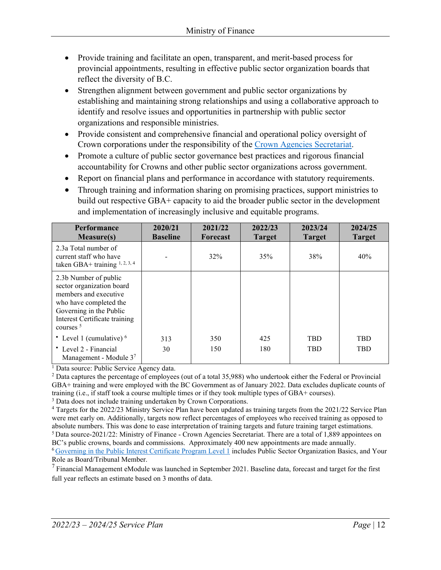- Provide training and facilitate an open, transparent, and merit-based process for provincial appointments, resulting in effective public sector organization boards that reflect the diversity of B.C.
- Strengthen alignment between government and public sector organizations by establishing and maintaining strong relationships and using a collaborative approach to identify and resolve issues and opportunities in partnership with public sector organizations and responsible ministries.
- Provide consistent and comprehensive financial and operational policy oversight of Crown corporations under the responsibility of the Crown Agencies Secretariat.
- Promote a culture of public sector governance best practices and rigorous financial accountability for Crowns and other public sector organizations across government.
- Report on financial plans and performance in accordance with statutory requirements.
- Through training and information sharing on promising practices, support ministries to build out respective GBA+ capacity to aid the broader public sector in the development and implementation of increasingly inclusive and equitable programs.

| <b>Performance</b><br><b>Measure(s)</b>                                                                                                                                                   | 2020/21<br><b>Baseline</b> | 2021/22<br><b>Forecast</b> | 2022/23<br><b>Target</b> | 2023/24<br><b>Target</b> | 2024/25<br><b>Target</b> |
|-------------------------------------------------------------------------------------------------------------------------------------------------------------------------------------------|----------------------------|----------------------------|--------------------------|--------------------------|--------------------------|
| 2.3a Total number of<br>current staff who have<br>taken GBA+ training $1, 2, 3, 4$                                                                                                        |                            | 32%                        | 35%                      | 38%                      | 40%                      |
| 2.3b Number of public<br>sector organization board<br>members and executive<br>who have completed the<br>Governing in the Public<br>Interest Certificate training<br>courses <sup>5</sup> |                            |                            |                          |                          |                          |
| • Level 1 (cumulative) $6$                                                                                                                                                                | 313                        | 350                        | 425                      | <b>TBD</b>               | <b>TBD</b>               |
| • Level 2 - Financial<br>Management - Module $37$                                                                                                                                         | 30                         | 150                        | 180                      | <b>TBD</b>               | <b>TBD</b>               |

<sup>1</sup> Data source: Public Service Agency data.

<sup>2</sup> Data captures the percentage of employees (out of a total 35,988) who undertook either the Federal or Provincial GBA+ training and were employed with the BC Government as of January 2022. Data excludes duplicate counts of training (i.e., if staff took a course multiple times or if they took multiple types of GBA+ courses).

 $3$  Data does not include training undertaken by Crown Corporations.<br> $4$  Targets for the 2022/23 Ministry Service Plan have been updated as training targets from the 2021/22 Service Plan

were met early on. Additionally, targets now reflect percentages of employees who received training as opposed to absolute numbers. This was done to ease interpretation of training targets and future training target estimations. 5 Data source-2021/22: Ministry of Finance - Crown Agencies Secretariat. There are a total of 1,889 appointees on BC's public crowns, boards and commissions. Approximately 400 new appointments are made annually. [6 Governing in the Public Interest Certificate Program Level 1](https://www2.gov.bc.ca/gov/content/bcpublicsectorboardresourcing/online-training) includes Public Sector Organization Basics, and Your Role as Board/Tribunal Member.

<sup>7</sup> Financial Management eModule was launched in September 2021. Baseline data, forecast and target for the first full year reflects an estimate based on 3 months of data.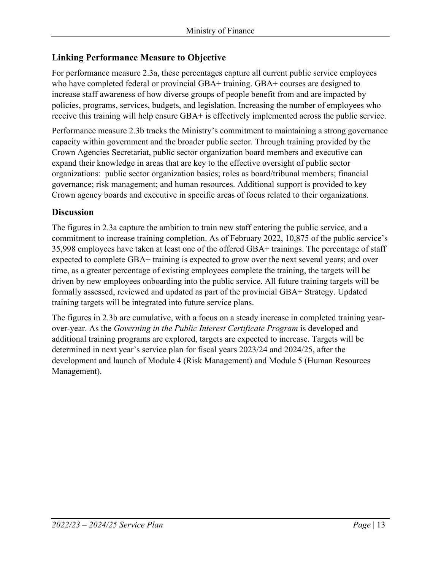#### **Linking Performance Measure to Objective**

For performance measure 2.3a, these percentages capture all current public service employees who have completed federal or provincial GBA+ training. GBA+ courses are designed to increase staff awareness of how diverse groups of people benefit from and are impacted by policies, programs, services, budgets, and legislation. Increasing the number of employees who receive this training will help ensure GBA+ is effectively implemented across the public service.

Performance measure 2.3b tracks the Ministry's commitment to maintaining a strong governance capacity within government and the broader public sector. Through training provided by the Crown Agencies Secretariat, public sector organization board members and executive can expand their knowledge in areas that are key to the effective oversight of public sector organizations: public sector organization basics; roles as board/tribunal members; financial governance; risk management; and human resources. Additional support is provided to key Crown agency boards and executive in specific areas of focus related to their organizations.

#### **Discussion**

The figures in 2.3a capture the ambition to train new staff entering the public service, and a commitment to increase training completion. As of February 2022, 10,875 of the public service's 35,998 employees have taken at least one of the offered GBA+ trainings. The percentage of staff expected to complete GBA+ training is expected to grow over the next several years; and over time, as a greater percentage of existing employees complete the training, the targets will be driven by new employees onboarding into the public service. All future training targets will be formally assessed, reviewed and updated as part of the provincial GBA+ Strategy. Updated training targets will be integrated into future service plans.

The figures in 2.3b are cumulative, with a focus on a steady increase in completed training yearover-year. As the *Governing in the Public Interest Certificate Program* is developed and additional training programs are explored, targets are expected to increase. Targets will be determined in next year's service plan for fiscal years 2023/24 and 2024/25, after the development and launch of Module 4 (Risk Management) and Module 5 (Human Resources Management).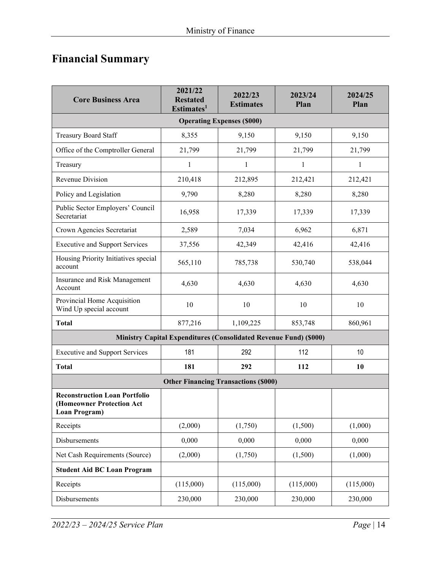# <span id="page-13-0"></span>**Financial Summary**

| <b>Core Business Area</b>                                                          | 2021/22<br><b>Restated</b><br>Estimates <sup>1</sup> | 2022/23<br><b>Estimates</b>                                              | 2023/24<br>Plan | 2024/25<br>Plan |  |  |  |
|------------------------------------------------------------------------------------|------------------------------------------------------|--------------------------------------------------------------------------|-----------------|-----------------|--|--|--|
| <b>Operating Expenses (\$000)</b>                                                  |                                                      |                                                                          |                 |                 |  |  |  |
| <b>Treasury Board Staff</b>                                                        | 8,355                                                | 9,150                                                                    | 9,150           | 9,150           |  |  |  |
| Office of the Comptroller General                                                  | 21,799                                               | 21,799                                                                   | 21,799          | 21,799          |  |  |  |
| Treasury                                                                           | 1                                                    | 1                                                                        | 1               | $\mathbf{1}$    |  |  |  |
| Revenue Division                                                                   | 210,418                                              | 212,895                                                                  | 212,421         | 212,421         |  |  |  |
| Policy and Legislation                                                             | 9,790                                                | 8,280                                                                    | 8,280           | 8,280           |  |  |  |
| Public Sector Employers' Council<br>Secretariat                                    | 16,958                                               | 17,339                                                                   | 17,339          | 17,339          |  |  |  |
| Crown Agencies Secretariat                                                         | 2,589                                                | 7,034                                                                    | 6,962           | 6,871           |  |  |  |
| <b>Executive and Support Services</b>                                              | 37,556                                               | 42,349                                                                   | 42,416          | 42,416          |  |  |  |
| Housing Priority Initiatives special<br>account                                    | 565,110                                              | 785,738                                                                  | 530,740         | 538,044         |  |  |  |
| Insurance and Risk Management<br>Account                                           | 4,630                                                | 4,630                                                                    | 4,630           | 4,630           |  |  |  |
| Provincial Home Acquisition<br>Wind Up special account                             | 10                                                   | 10                                                                       | 10              | 10              |  |  |  |
| <b>Total</b>                                                                       | 877,216                                              | 1,109,225                                                                | 853,748         | 860,961         |  |  |  |
|                                                                                    |                                                      | <b>Ministry Capital Expenditures (Consolidated Revenue Fund) (\$000)</b> |                 |                 |  |  |  |
| <b>Executive and Support Services</b>                                              | 181                                                  | 292                                                                      | 112             | 10              |  |  |  |
| <b>Total</b>                                                                       | 181                                                  | 292                                                                      | 112             | 10              |  |  |  |
|                                                                                    |                                                      | <b>Other Financing Transactions (\$000)</b>                              |                 |                 |  |  |  |
| <b>Reconstruction Loan Portfolio</b><br>(Homeowner Protection Act<br>Loan Program) |                                                      |                                                                          |                 |                 |  |  |  |
| Receipts                                                                           | (2,000)                                              | (1,750)                                                                  | (1,500)         | (1,000)         |  |  |  |
| Disbursements                                                                      | 0,000                                                | 0,000                                                                    | 0,000           | 0,000           |  |  |  |
| Net Cash Requirements (Source)                                                     | (2,000)                                              | (1,750)                                                                  | (1,500)         | (1,000)         |  |  |  |
| <b>Student Aid BC Loan Program</b>                                                 |                                                      |                                                                          |                 |                 |  |  |  |
| Receipts                                                                           | (115,000)                                            | (115,000)                                                                | (115,000)       | (115,000)       |  |  |  |
| Disbursements                                                                      | 230,000                                              | 230,000                                                                  | 230,000         | 230,000         |  |  |  |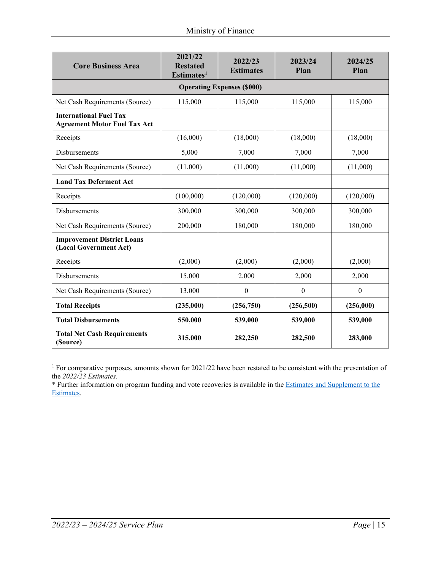| <b>Core Business Area</b>                                            | 2021/22<br><b>Restated</b><br>Estimates <sup>1</sup> | 2022/23<br><b>Estimates</b>       | 2023/24<br>Plan | 2024/25<br>Plan |
|----------------------------------------------------------------------|------------------------------------------------------|-----------------------------------|-----------------|-----------------|
|                                                                      |                                                      | <b>Operating Expenses (\$000)</b> |                 |                 |
| Net Cash Requirements (Source)                                       | 115,000                                              | 115,000                           | 115,000         | 115,000         |
| <b>International Fuel Tax</b><br><b>Agreement Motor Fuel Tax Act</b> |                                                      |                                   |                 |                 |
| Receipts                                                             | (16,000)                                             | (18,000)                          | (18,000)        | (18,000)        |
| Disbursements                                                        | 5,000                                                | 7,000                             | 7,000           | 7,000           |
| Net Cash Requirements (Source)                                       | (11,000)                                             | (11,000)                          | (11,000)        | (11,000)        |
| <b>Land Tax Deferment Act</b>                                        |                                                      |                                   |                 |                 |
| Receipts                                                             | (100,000)                                            | (120,000)                         | (120,000)       | (120,000)       |
| Disbursements                                                        | 300,000                                              | 300,000                           | 300,000         | 300,000         |
| Net Cash Requirements (Source)                                       | 200,000                                              | 180,000                           | 180,000         | 180,000         |
| <b>Improvement District Loans</b><br>(Local Government Act)          |                                                      |                                   |                 |                 |
| Receipts                                                             | (2,000)                                              | (2,000)                           | (2,000)         | (2,000)         |
| Disbursements                                                        | 15,000                                               | 2,000                             | 2,000           | 2,000           |
| Net Cash Requirements (Source)                                       | 13,000                                               | $\boldsymbol{0}$                  | $\theta$        | $\theta$        |
| <b>Total Receipts</b>                                                | (235,000)                                            | (256,750)                         | (256, 500)      | (256,000)       |
| <b>Total Disbursements</b>                                           | 550,000                                              | 539,000                           | 539,000         | 539,000         |
| <b>Total Net Cash Requirements</b><br>(Source)                       | 315,000                                              | 282,250                           | 282,500         | 283,000         |

<sup>1</sup> For comparative purposes, amounts shown for 2021/22 have been restated to be consistent with the presentation of the *2022/23 Estimates*.

\* Further information on program funding and vote recoveries is available in the *Estimates and Supplement to the* [Estimates.](http://www.bcbudget.gov.bc.ca/)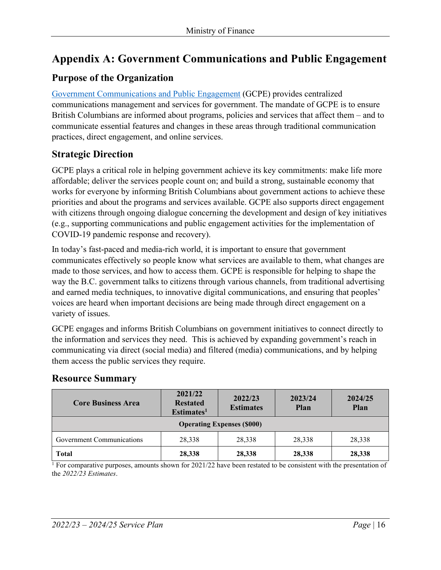# <span id="page-15-0"></span>**Appendix A: Government Communications and Public Engagement**

#### **Purpose of the Organization**

[Government Communications and Public Engagement](https://www2.gov.bc.ca/gov/content/governments/organizational-structure/ministries-organizations/central-government-agencies/government-communications) (GCPE) provides centralized communications management and services for government. The mandate of GCPE is to ensure British Columbians are informed about programs, policies and services that affect them – and to communicate essential features and changes in these areas through traditional communication practices, direct engagement, and online services.

#### **Strategic Direction**

GCPE plays a critical role in helping government achieve its key commitments: make life more affordable; deliver the services people count on; and build a strong, sustainable economy that works for everyone by informing British Columbians about government actions to achieve these priorities and about the programs and services available. GCPE also supports direct engagement with citizens through ongoing dialogue concerning the development and design of key initiatives (e.g., supporting communications and public engagement activities for the implementation of COVID-19 pandemic response and recovery).

In today's fast-paced and media-rich world, it is important to ensure that government communicates effectively so people know what services are available to them, what changes are made to those services, and how to access them. GCPE is responsible for helping to shape the way the B.C. government talks to citizens through various channels, from traditional advertising and earned media techniques, to innovative digital communications, and ensuring that peoples' voices are heard when important decisions are being made through direct engagement on a variety of issues.

GCPE engages and informs British Columbians on government initiatives to connect directly to the information and services they need. This is achieved by expanding government's reach in communicating via direct (social media) and filtered (media) communications, and by helping them access the public services they require.

#### **Resource Summary**

| <b>Core Business Area</b>         | 2021/22<br><b>Restated</b><br>Estimates <sup>1</sup> | 2022/23<br><b>Estimates</b> | 2023/24<br>Plan | 2024/25<br>Plan |  |  |
|-----------------------------------|------------------------------------------------------|-----------------------------|-----------------|-----------------|--|--|
| <b>Operating Expenses (\$000)</b> |                                                      |                             |                 |                 |  |  |
| Government Communications         | 28,338                                               | 28,338                      | 28,338          | 28,338          |  |  |
| <b>Total</b>                      | 28,338                                               | 28,338                      | 28,338          | 28,338          |  |  |

<sup>1</sup> For comparative purposes, amounts shown for 2021/22 have been restated to be consistent with the presentation of the *2022/23 Estimates*.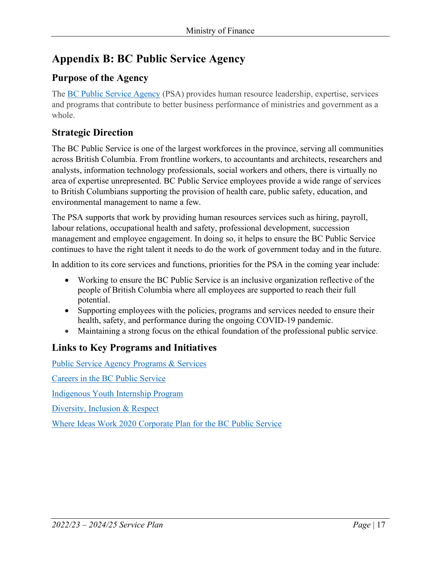# <span id="page-16-0"></span>**Appendix B: BC Public Service Agency**

#### **Purpose of the Agency**

The [BC Public Service Agency](https://www2.gov.bc.ca/gov/content/governments/organizational-structure/ministries-organizations/central-government-agencies/bc-public-service-agency) (PSA) provides human resource leadership, expertise, services and programs that contribute to better business performance of ministries and government as a whole.

#### **Strategic Direction**

The BC Public Service is one of the largest workforces in the province, serving all communities across British Columbia. From frontline workers, to accountants and architects, researchers and analysts, information technology professionals, social workers and others, there is virtually no area of expertise unrepresented. BC Public Service employees provide a wide range of services to British Columbians supporting the provision of health care, public safety, education, and environmental management to name a few.

The PSA supports that work by providing human resources services such as hiring, payroll, labour relations, occupational health and safety, professional development, succession management and employee engagement. In doing so, it helps to ensure the BC Public Service continues to have the right talent it needs to do the work of government today and in the future.

In addition to its core services and functions, priorities for the PSA in the coming year include:

- Working to ensure the BC Public Service is an inclusive organization reflective of the people of British Columbia where all employees are supported to reach their full potential.
- Supporting employees with the policies, programs and services needed to ensure their health, safety, and performance during the ongoing COVID-19 pandemic.
- Maintaining a strong focus on the ethical foundation of the professional public service.

#### **Links to Key Programs and Initiatives**

[Public Service Agency Programs & Services](https://www2.gov.bc.ca/gov/content/careers-myhr/bcpsa/psa-programs-services?keyword=psa&keyword=programs) [Careers in the BC Public Service](https://www2.gov.bc.ca/gov/content/careers-myhr/job-seekers/featured-careers) [Indigenous Youth Internship Program](https://www2.gov.bc.ca/gov/content/careers-myhr/job-seekers/internship-co-op-opportunities/iyip) [Diversity, Inclusion & Respect](https://www2.gov.bc.ca/gov/content/careers-myhr/about-the-bc-public-service/diversity-inclusion?keyword=diversity&keyword=and&keyword=inclusion) [Where Ideas Work 2020 Corporate Plan for the BC Public Service](http://whereideaswork.gov.bc.ca/)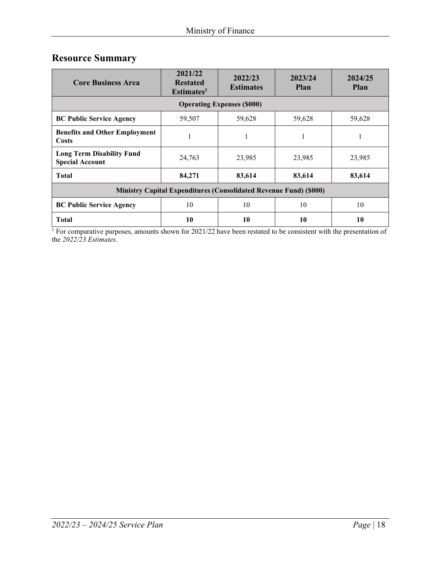### **Resource Summary**

| <b>Core Business Area</b>                                                | 2021/22<br><b>Restated</b><br>Estimates <sup>1</sup> | 2022/23<br><b>Estimates</b>       | 2023/24<br>Plan | 2024/25<br><b>Plan</b> |  |
|--------------------------------------------------------------------------|------------------------------------------------------|-----------------------------------|-----------------|------------------------|--|
|                                                                          |                                                      | <b>Operating Expenses (\$000)</b> |                 |                        |  |
| <b>BC Public Service Agency</b>                                          | 59,507                                               | 59,628                            | 59,628          | 59,628                 |  |
| <b>Benefits and Other Employment</b><br>Costs                            | п                                                    |                                   |                 | -1                     |  |
| <b>Long Term Disability Fund</b><br><b>Special Account</b>               | 24,763                                               | 23,985                            | 23,985          | 23,985                 |  |
| <b>Total</b>                                                             | 84,271                                               | 83,614                            | 83,614          | 83,614                 |  |
| <b>Ministry Capital Expenditures (Consolidated Revenue Fund) (\$000)</b> |                                                      |                                   |                 |                        |  |
| <b>BC Public Service Agency</b>                                          | 10                                                   | 10                                | 10              | 10                     |  |
| <b>Total</b>                                                             | 10                                                   | 10                                | 10              | 10                     |  |

<sup>1</sup> For comparative purposes, amounts shown for 2021/22 have been restated to be consistent with the presentation of the *2022/23 Estimates*.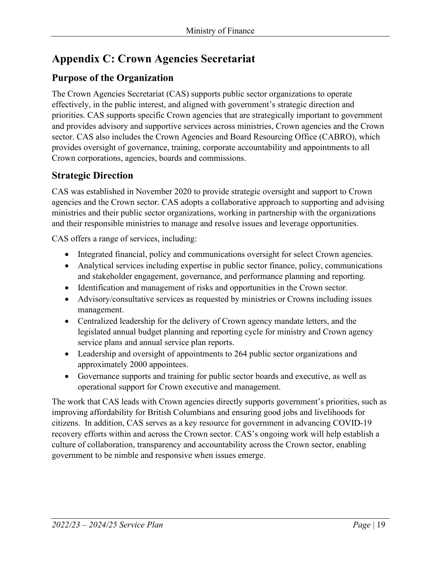# <span id="page-18-0"></span>**Appendix C: Crown Agencies Secretariat**

#### **Purpose of the Organization**

The Crown Agencies Secretariat (CAS) supports public sector organizations to operate effectively, in the public interest, and aligned with government's strategic direction and priorities. CAS supports specific Crown agencies that are strategically important to government and provides advisory and supportive services across ministries, Crown agencies and the Crown sector. CAS also includes the Crown Agencies and Board Resourcing Office (CABRO), which provides oversight of governance, training, corporate accountability and appointments to all Crown corporations, agencies, boards and commissions.

#### **Strategic Direction**

CAS was established in November 2020 to provide strategic oversight and support to Crown agencies and the Crown sector. CAS adopts a collaborative approach to supporting and advising ministries and their public sector organizations, working in partnership with the organizations and their responsible ministries to manage and resolve issues and leverage opportunities.

CAS offers a range of services, including:

- Integrated financial, policy and communications oversight for select Crown agencies.
- Analytical services including expertise in public sector finance, policy, communications and stakeholder engagement, governance, and performance planning and reporting.
- Identification and management of risks and opportunities in the Crown sector.
- Advisory/consultative services as requested by ministries or Crowns including issues management.
- Centralized leadership for the delivery of Crown agency mandate letters, and the legislated annual budget planning and reporting cycle for ministry and Crown agency service plans and annual service plan reports.
- Leadership and oversight of appointments to 264 public sector organizations and approximately 2000 appointees.
- Governance supports and training for public sector boards and executive, as well as operational support for Crown executive and management.

The work that CAS leads with Crown agencies directly supports government's priorities, such as improving affordability for British Columbians and ensuring good jobs and livelihoods for citizens. In addition, CAS serves as a key resource for government in advancing COVID-19 recovery efforts within and across the Crown sector. CAS's ongoing work will help establish a culture of collaboration, transparency and accountability across the Crown sector, enabling government to be nimble and responsive when issues emerge.